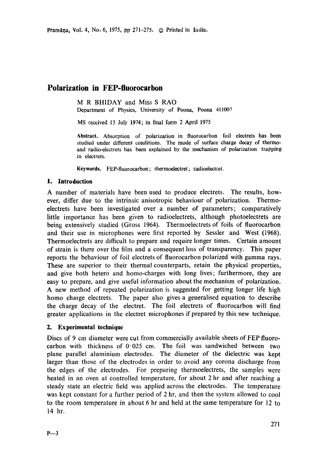# **Polarization in FEP-fluorocarbon**

M R BHIDAY and MIss S RAO Department of Physics, University of Poona, Poona 411007

MS received 15 July 1974; in final form 2 April 1975

**Abstract.** Absorption of polarization in fluorocarbon foil electrets has been studied under different conditions. The mode of surface charge decay of thermoand radio-electrets has been explained by the mechanism of polarization trapping in electrets.

**Keywords.** FEP-fluorocarbon; thermoelectret; radioelectret.

### **1. Introduction**

A number of materials have been used to produce electrets. The results, however, differ due to the intrinsic anisotropic behaviour of polarization. Thermoelectrets have been investigated over a number of parameters; comparatively little importance has been given to radioelectrets, although photoelectrets are being extensively studied (Gross 1964). Thermoelectrets of foils of fluorocarbon and their use in microphones were first reported by Sessler and West (I968). Thermoelectrets are difficult to prepare and require longer times. Certain amount of strain is there over the film and a consequent loss of transparency. This paper reports the behaviour of foil electrets of fluorocarbon polarized with gamma rays. These are superior to their thermal counterparts, retain the physical properties, and give both hetero and homo-charges with long lives; furthermore, they are easy to prepare, and give useful information about the mechanism of polarization. A new method of repeated polarization is suggested for getting longer life high homo charge electrets. The paper also gives a generalised equation to describe the charge decay of the electret. The foil electrets of fluorocarbon will find greater applications in the electret microphones if prepared by this new technique.

## **2. Experimental technique**

Discs of 9 cm diameter were cut from commercially available sheets of FEP fluorocarbon with thickness of  $0.025$  cm. The foil was sandwiched between two plane parallel aluminium electrodes. The diameter of the dielectric was kept larger than those of the electrodes in order to avoid any corona discharge from the edges of the electrodes. For preparing thermoelectrets, the samples were heated in an oven at controlled temperature, for about 2 hr and after reaching a steady state an electric field was applied across the electrodes. The temperature was kept constant for a further period of 2 hr, and then the system allowed to cool to the room temperature in about 6 hr and held at the same temperature for 12 to 14 hr.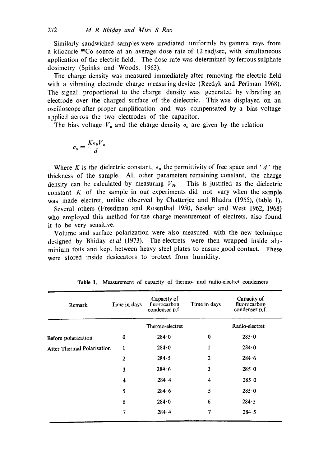Similarly sandwiched samples were irradiated uniformly by gamma rays from a kilocurie  $^{60}$ Co source at an average dose rate of 12 rad/sec, with simultaneous application of the electric field. The dose rate was determined by ferrous sulphate dosimetry (Spinks and Woods, 1963).

The charge density was measured immediately after removing the electric field with a vibrating electrode charge measuring device (Reedyk and Perlman 1968). The signal proportional to the charge density was generated by vibrating an electrode over the charged surface of the dielectric. This was displayed on an oscilloscope after proper amplification and was compensated by a bias voltage applied across the two electrodes of the capacitor.

The bias voltage  $V_{\rm B}$  and the charge density  $\sigma_{\rm s}$  are given by the relation

$$
\sigma_{\rm s} = \frac{K \epsilon_{\rm 0} V_{\rm B}}{d}
$$

Where K is the dielectric constant,  $\epsilon_0$  the permittivity of free space and 'd' the thickness of the sample. All other parameters remaining constant, the charge density can be calculated by measuring  $V_B$ . This is justified as the dielectric constant  $K$  of the sample in our experiments did not vary when the sample was made electret, unlike observed by Chatterjee and Bhadra (1955), (table 1).

Several others (Freedman and Rosenthal 1950, Sessler and West 1962, 1968) who employed this method for the charge measurement of electrets, also found it to be very sensitive.

Volume and surface polarization were also measured with the new technique designed by Bhiday *et al* (1973). The electrets were then wrapped inside aluminium foils and kept between heavy steel plates to ensure good contact. These were stored inside desiccators to protect from humidity.

| Remark                            | Time in days | Capacity of<br>fluorocarbon<br>condenser p.f. | Time in days | Capacity of<br>fluorocarbon<br>condenser p.f. |
|-----------------------------------|--------------|-----------------------------------------------|--------------|-----------------------------------------------|
|                                   |              | Thermo-electret                               |              | Radio-electret                                |
| Before polarization               | 0            | 284.0                                         | $\bf{0}$     | 285.0                                         |
| <b>After Thermal Polarisation</b> | $\mathbf{1}$ | 284.0                                         | 1            | 284.0                                         |
|                                   | $\mathbf{2}$ | 284.5                                         | 2            | 284.6                                         |
|                                   | 3            | 284.6                                         | 3            | 285.0                                         |
|                                   | 4            | 284.4                                         | 4            | 285.0                                         |
|                                   | 5            | 284.6                                         | 5            | 285.0                                         |
|                                   | 6            | 284.0                                         | 6            | 284.5                                         |
|                                   | 7            | 284.4                                         | 7            | 284.5                                         |

**Table** 1. Measurement of capacity of thermo- and radio-electret condensers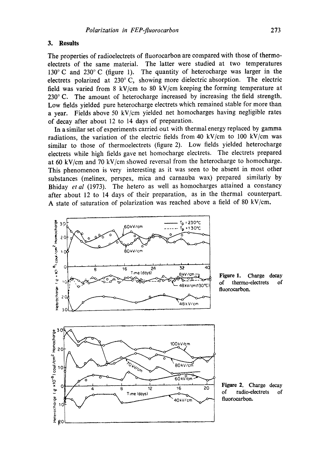#### **3. Results**

10

РC

The properties of radioelectrets of fluorocarbon are compared with those of thermoelectrets of the same material. The latter were studied at two temperatures 130°C and 230°C (figure 1). The quantity of heterocharge was larger in the electrets polarized at 230° C, showing more dielectric absorption. The electric field was varied from 8 kV/cm to 80 kV/cm keeping the forming temperature at 230° C. The amount of heterocharge increased by increasing the field strength. Low fields yielded pure heterocharge electrets which remained stable for more than a year. Fields above 50 kV/cm yielded net homocharges having negligible rates of decay after about 12 to 14 days of preparation.

In a similar set of experiments carried out with thermal energy replaced by gamma radiations, the variation of the electric fields from 40 kV/cm to 100 kV/cm was similar to those of thermoelectrets (figure 2). Low fields yielded heterocharge electrets while high fields gave net homocharge electrets. The electrets prepared at 60 kV/cm and 70 kV/cm showed reversal from the heterocharge to homocharge. This phenomenon is very interesting as it was seen to be absent in most other substances (melinex, perspex, mica and carnauba wax) prepared similarly by Bhiday *et al* (1973). The hetero as well as homocharges attained a constancy after about 12 to 14 days of their preparation, as in the thermal counterpart. A state of saturation of polarization was reached above a field of 80 kV/cm.

40kV/cn



Figure 1. Charge **decay**  of thermo-electrets of **fluorocarbon.** 

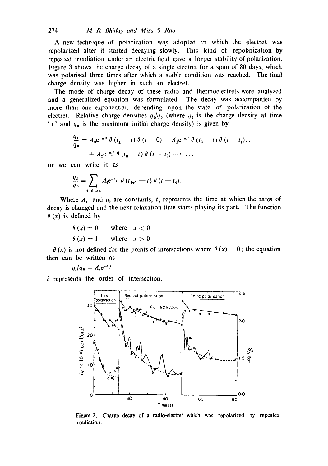A new technique of polarization was adopted in which the electret was repolarized after it started decaying slowly. This kind of repolarization by repeated irradiation under an electric field gave a longer stability of polarization. Figure 3 shows the charge decay of a single electret for a span of 80 days, which was polarised three times after which a stable condition was reached. The final charge density was higher in such an electret.

The mode of charge decay of these radio and thermoelectrets were analyzed and a generalized equation was formulated. The decay was accompanied by more than one exponential, depending upon the state of polarization of the electret. Relative charge densities  $q_i/q_0$  (where  $q_i$  is the charge density at time 't' and  $q_0$  is the maximum initial charge density) is given by

$$
\frac{q_t}{q_0} = A_0 e^{-a_0 t} \theta (t_1 - t) \theta (t - 0) + A_1 e^{-a_1 t} \theta (t_2 - t) \theta (t - t_1) \dots + A_2 e^{-a_2 t} \theta (t_3 - t) \theta (t - t_2) + \dots
$$

or we can write it as

$$
\frac{q_t}{q_0} = \sum_{i=0 \text{ to } n} A_i e^{-a_i t} \theta(t_{i-1} - t) \theta(t - t_i).
$$

Where  $A_i$  and  $a_i$  are constants,  $t_i$  represents the time at which the rates of decay is changed and the next relaxation time starts playing its part. The function  $\theta(x)$  is defined by

$$
\begin{aligned}\n\theta(x) &= 0 & \text{where} & x < 0 \\
\theta(x) &= 1 & \text{where} & x > 0\n\end{aligned}
$$

 $\theta$  (x) is not defined for the points of intersections where  $\theta$  (x) = 0; the equation then can be written as

$$
q_i/q_0=A_i e^{-a_i t}
$$

*i* represents the order of intersection.



Figure 3. Charge decay of a radio-electret which was repolarized by repeated irradiation.